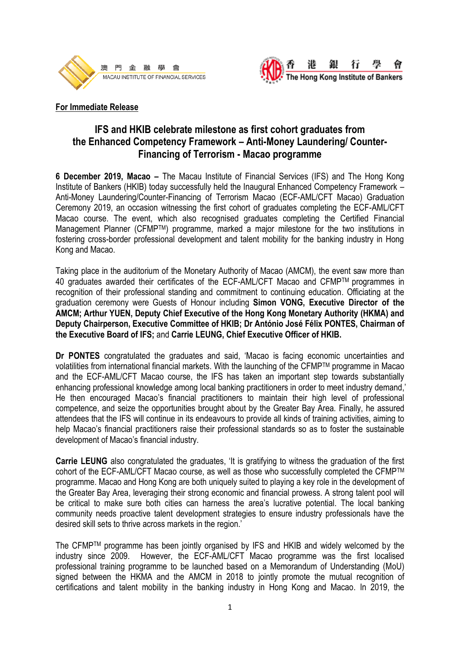



## **For Immediate Release**

# **IFS and HKIB celebrate milestone as first cohort graduates from the Enhanced Competency Framework – Anti-Money Laundering/ Counter-Financing of Terrorism - Macao programme**

**6 December 2019, Macao –** The Macau Institute of Financial Services (IFS) and The Hong Kong Institute of Bankers (HKIB) today successfully held the Inaugural Enhanced Competency Framework – Anti-Money Laundering/Counter-Financing of Terrorism Macao (ECF-AML/CFT Macao) Graduation Ceremony 2019, an occasion witnessing the first cohort of graduates completing the ECF-AML/CFT Macao course. The event, which also recognised graduates completing the Certified Financial Management Planner (CFMPTM) programme, marked a major milestone for the two institutions in fostering cross-border professional development and talent mobility for the banking industry in Hong Kong and Macao.

Taking place in the auditorium of the Monetary Authority of Macao (AMCM), the event saw more than 40 graduates awarded their certificates of the ECF-AML/CFT Macao and CFMPTM programmes in recognition of their professional standing and commitment to continuing education. Officiating at the graduation ceremony were Guests of Honour including **Simon VONG, Executive Director of the AMCM; Arthur YUEN, Deputy Chief Executive of the Hong Kong Monetary Authority (HKMA) and Deputy Chairperson, Executive Committee of HKIB; Dr António José Félix PONTES, Chairman of the Executive Board of IFS;** and **Carrie LEUNG, Chief Executive Officer of HKIB.**

**Dr PONTES** congratulated the graduates and said, 'Macao is facing economic uncertainties and volatilities from international financial markets. With the launching of the CFMPTM programme in Macao and the ECF-AML/CFT Macao course, the IFS has taken an important step towards substantially enhancing professional knowledge among local banking practitioners in order to meet industry demand,' He then encouraged Macao's financial practitioners to maintain their high level of professional competence, and seize the opportunities brought about by the Greater Bay Area. Finally, he assured attendees that the IFS will continue in its endeavours to provide all kinds of training activities, aiming to help Macao's financial practitioners raise their professional standards so as to foster the sustainable development of Macao's financial industry.

**Carrie LEUNG** also congratulated the graduates, 'It is gratifying to witness the graduation of the first cohort of the ECF-AML/CFT Macao course, as well as those who successfully completed the CFMPTM programme. Macao and Hong Kong are both uniquely suited to playing a key role in the development of the Greater Bay Area, leveraging their strong economic and financial prowess. A strong talent pool will be critical to make sure both cities can harness the area's lucrative potential. The local banking community needs proactive talent development strategies to ensure industry professionals have the desired skill sets to thrive across markets in the region.'

The CFMPTM programme has been jointly organised by IFS and HKIB and widely welcomed by the industry since 2009. However, the ECF-AML/CFT Macao programme was the first localised professional training programme to be launched based on a Memorandum of Understanding (MoU) signed between the HKMA and the AMCM in 2018 to jointly promote the mutual recognition of certifications and talent mobility in the banking industry in Hong Kong and Macao. In 2019, the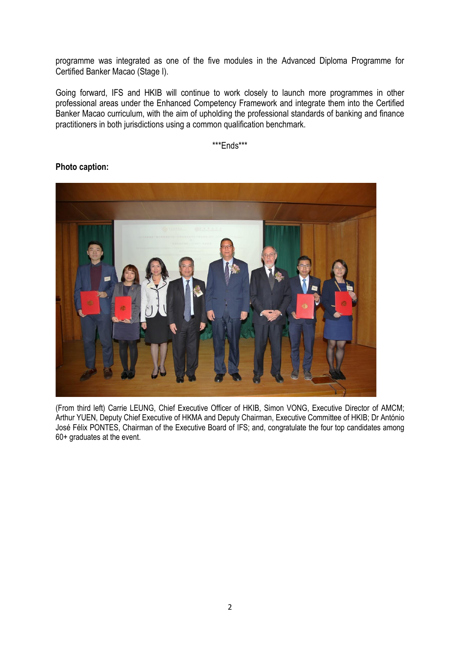programme was integrated as one of the five modules in the Advanced Diploma Programme for Certified Banker Macao (Stage I).

Going forward, IFS and HKIB will continue to work closely to launch more programmes in other professional areas under the Enhanced Competency Framework and integrate them into the Certified Banker Macao curriculum, with the aim of upholding the professional standards of banking and finance practitioners in both jurisdictions using a common qualification benchmark.

\*\*\*Ends\*\*\*



# **Photo caption:**

(From third left) Carrie LEUNG, Chief Executive Officer of HKIB, Simon VONG, Executive Director of AMCM; Arthur YUEN, Deputy Chief Executive of HKMA and Deputy Chairman, Executive Committee of HKIB; Dr António José Félix PONTES, Chairman of the Executive Board of IFS; and, congratulate the four top candidates among 60+ graduates at the event.